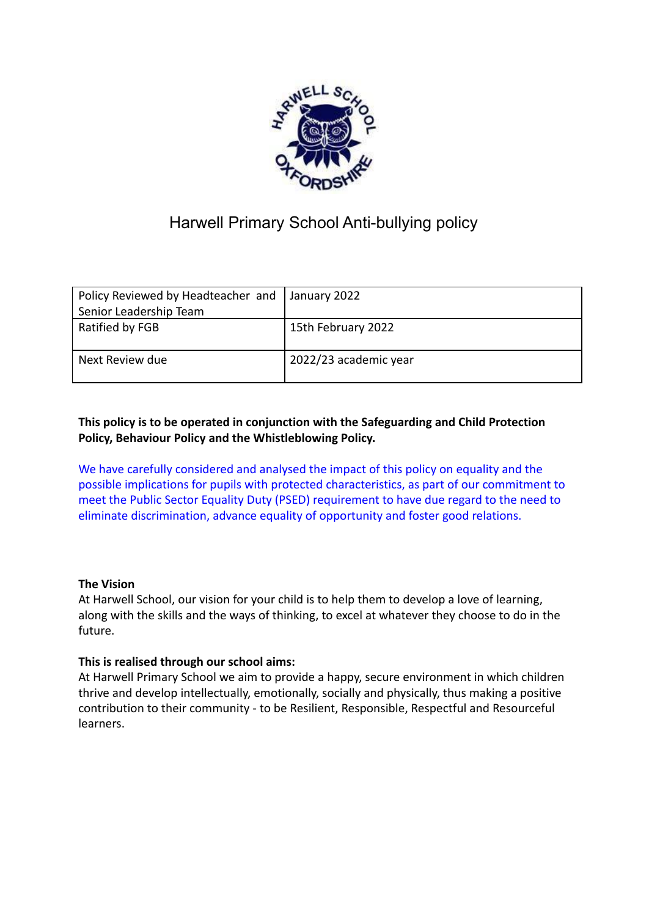

# Harwell Primary School Anti-bullying policy

| Policy Reviewed by Headteacher and January 2022 |                       |
|-------------------------------------------------|-----------------------|
| Senior Leadership Team                          |                       |
| Ratified by FGB                                 | 15th February 2022    |
| Next Review due                                 | 2022/23 academic year |

# **This policy is to be operated in conjunction with the Safeguarding and Child Protection Policy, Behaviour Policy and the Whistleblowing Policy.**

We have carefully considered and analysed the impact of this policy on equality and the possible implications for pupils with protected characteristics, as part of our commitment to meet the Public Sector Equality Duty (PSED) requirement to have due regard to the need to eliminate discrimination, advance equality of opportunity and foster good relations.

# **The Vision**

At Harwell School, our vision for your child is to help them to develop a love of learning, along with the skills and the ways of thinking, to excel at whatever they choose to do in the future.

# **This is realised through our school aims:**

At Harwell Primary School we aim to provide a happy, secure environment in which children thrive and develop intellectually, emotionally, socially and physically, thus making a positive contribution to their community - to be Resilient, Responsible, Respectful and Resourceful learners.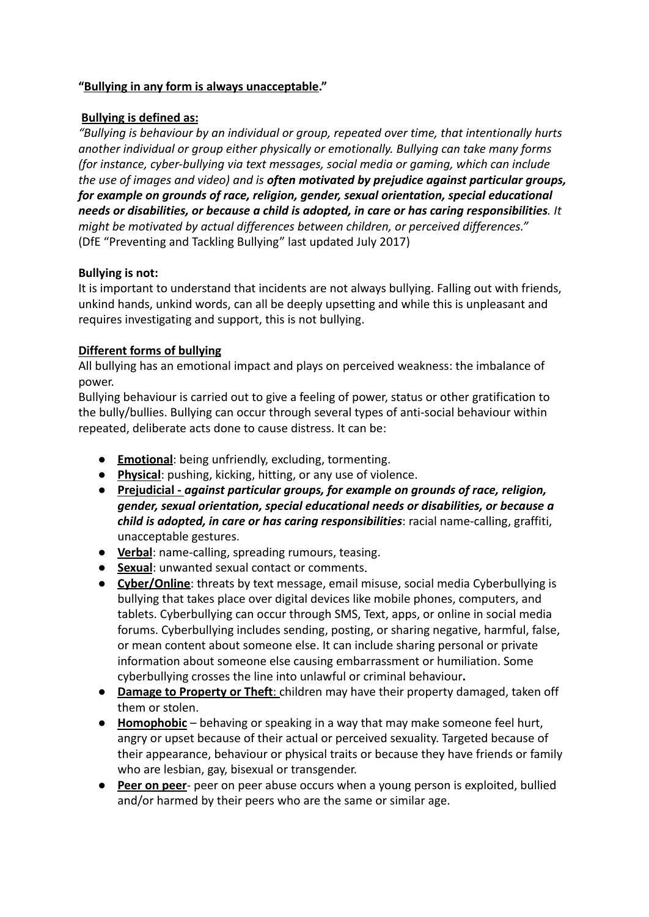### **"Bullying in any form is always unacceptable."**

### **Bullying is defined as:**

*"Bullying is behaviour by an individual or group, repeated over time, that intentionally hurts another individual or group either physically or emotionally. Bullying can take many forms (for instance, cyber-bullying via text messages, social media or gaming, which can include the use of images and video) and is often motivated by prejudice against particular groups, for example on grounds of race, religion, gender, sexual orientation, special educational needs or disabilities, or because a child is adopted, in care or has caring responsibilities. It might be motivated by actual differences between children, or perceived differences."* (DfE "Preventing and Tackling Bullying" last updated July 2017)

### **Bullying is not:**

It is important to understand that incidents are not always bullying. Falling out with friends, unkind hands, unkind words, can all be deeply upsetting and while this is unpleasant and requires investigating and support, this is not bullying.

# **Different forms of bullying**

All bullying has an emotional impact and plays on perceived weakness: the imbalance of power.

Bullying behaviour is carried out to give a feeling of power, status or other gratification to the bully/bullies. Bullying can occur through several types of anti-social behaviour within repeated, deliberate acts done to cause distress. It can be:

- **Emotional**: being unfriendly, excluding, tormenting.
- **Physical**: pushing, kicking, hitting, or any use of violence.
- **Prejudicial -** *against particular groups, for example on grounds of race, religion, gender, sexual orientation, special educational needs or disabilities, or because a child is adopted, in care or has caring responsibilities*: racial name-calling, graffiti, unacceptable gestures.
- **Verbal**: name-calling, spreading rumours, teasing.
- **Sexual**: unwanted sexual contact or comments.
- **Cyber/Online**: threats by text message, email misuse, social media Cyberbullying is bullying that takes place over digital devices like mobile phones, computers, and tablets. Cyberbullying can occur through SMS, Text, apps, or online in social media forums. Cyberbullying includes sending, posting, or sharing negative, harmful, false, or mean content about someone else. It can include sharing personal or private information about someone else causing embarrassment or humiliation. Some cyberbullying crosses the line into unlawful or criminal behaviour**.**
- **Damage to Property or Theft**: children may have their property damaged, taken off them or stolen.
- **Homophobic** behaving or speaking in a way that may make someone feel hurt, angry or upset because of their actual or perceived sexuality. Targeted because of their appearance, behaviour or physical traits or because they have friends or family who are lesbian, gay, bisexual or transgender.
- **Peer on peer** peer on peer abuse occurs when a young person is exploited, bullied and/or harmed by their peers who are the same or similar age.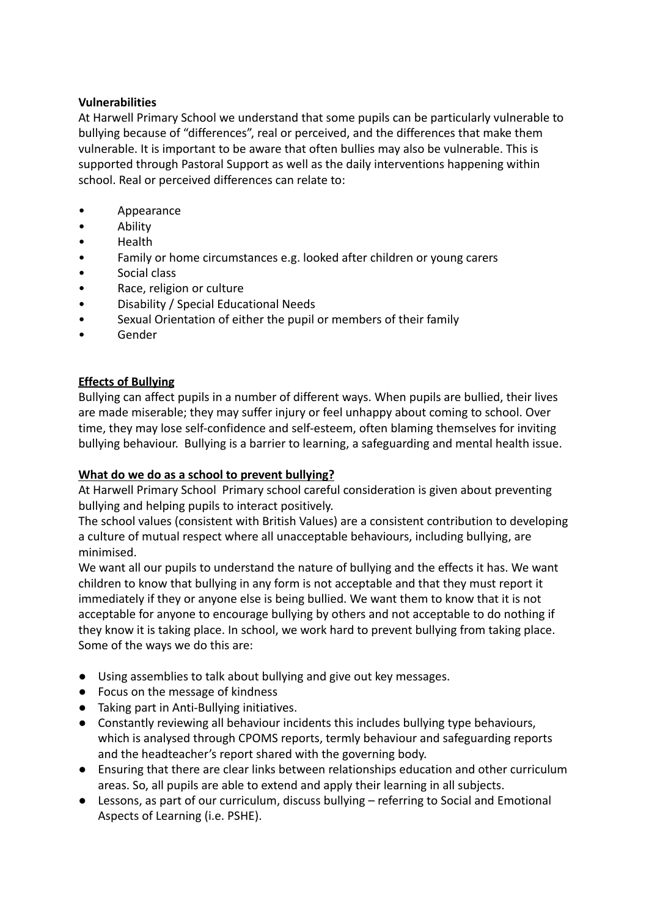# **Vulnerabilities**

At Harwell Primary School we understand that some pupils can be particularly vulnerable to bullying because of "differences", real or perceived, and the differences that make them vulnerable. It is important to be aware that often bullies may also be vulnerable. This is supported through Pastoral Support as well as the daily interventions happening within school. Real or perceived differences can relate to:

- Appearance
- Ability
- Health
- Family or home circumstances e.g. looked after children or young carers
- Social class
- Race, religion or culture
- Disability / Special Educational Needs
- Sexual Orientation of either the pupil or members of their family
- Gender

# **Effects of Bullying**

Bullying can affect pupils in a number of different ways. When pupils are bullied, their lives are made miserable; they may suffer injury or feel unhappy about coming to school. Over time, they may lose self-confidence and self-esteem, often blaming themselves for inviting bullying behaviour. Bullying is a barrier to learning, a safeguarding and mental health issue.

# **What do we do as a school to prevent bullying?**

At Harwell Primary School Primary school careful consideration is given about preventing bullying and helping pupils to interact positively.

The school values (consistent with British Values) are a consistent contribution to developing a culture of mutual respect where all unacceptable behaviours, including bullying, are minimised.

We want all our pupils to understand the nature of bullying and the effects it has. We want children to know that bullying in any form is not acceptable and that they must report it immediately if they or anyone else is being bullied. We want them to know that it is not acceptable for anyone to encourage bullying by others and not acceptable to do nothing if they know it is taking place. In school, we work hard to prevent bullying from taking place. Some of the ways we do this are:

- Using assemblies to talk about bullying and give out key messages.
- Focus on the message of kindness
- Taking part in Anti-Bullying initiatives.
- Constantly reviewing all behaviour incidents this includes bullying type behaviours, which is analysed through CPOMS reports, termly behaviour and safeguarding reports and the headteacher's report shared with the governing body.
- Ensuring that there are clear links between relationships education and other curriculum areas. So, all pupils are able to extend and apply their learning in all subjects.
- Lessons, as part of our curriculum, discuss bullying referring to Social and Emotional Aspects of Learning (i.e. PSHE).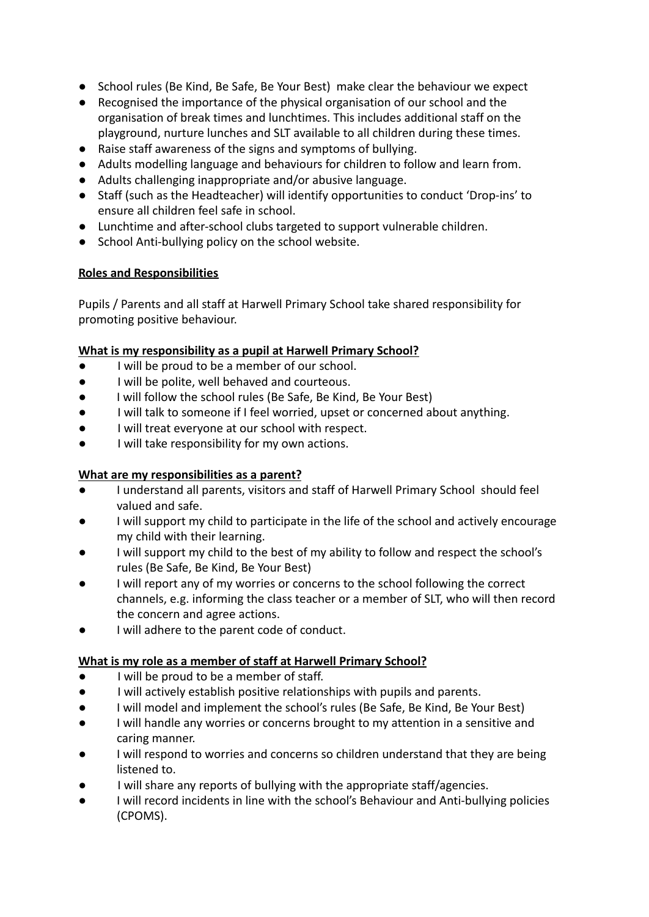- School rules (Be Kind, Be Safe, Be Your Best) make clear the behaviour we expect
- Recognised the importance of the physical organisation of our school and the organisation of break times and lunchtimes. This includes additional staff on the playground, nurture lunches and SLT available to all children during these times.
- Raise staff awareness of the signs and symptoms of bullying.
- Adults modelling language and behaviours for children to follow and learn from.
- Adults challenging inappropriate and/or abusive language.
- Staff (such as the Headteacher) will identify opportunities to conduct 'Drop-ins' to ensure all children feel safe in school.
- Lunchtime and after-school clubs targeted to support vulnerable children.
- School Anti-bullying policy on the school website.

# **Roles and Responsibilities**

Pupils / Parents and all staff at Harwell Primary School take shared responsibility for promoting positive behaviour.

# **What is my responsibility as a pupil at Harwell Primary School?**

- I will be proud to be a member of our school.
- I will be polite, well behaved and courteous.
- I will follow the school rules (Be Safe, Be Kind, Be Your Best)
- I will talk to someone if I feel worried, upset or concerned about anything.
- I will treat everyone at our school with respect.
- I will take responsibility for my own actions.

# **What are my responsibilities as a parent?**

- I understand all parents, visitors and staff of Harwell Primary School should feel valued and safe.
- I will support my child to participate in the life of the school and actively encourage my child with their learning.
- I will support my child to the best of my ability to follow and respect the school's rules (Be Safe, Be Kind, Be Your Best)
- I will report any of my worries or concerns to the school following the correct channels, e.g. informing the class teacher or a member of SLT, who will then record the concern and agree actions.
- I will adhere to the parent code of conduct.

# **What is my role as a member of staff at Harwell Primary School?**

- I will be proud to be a member of staff.
- I will actively establish positive relationships with pupils and parents.
- I will model and implement the school's rules (Be Safe, Be Kind, Be Your Best)
- I will handle any worries or concerns brought to my attention in a sensitive and caring manner.
- I will respond to worries and concerns so children understand that they are being listened to.
- I will share any reports of bullying with the appropriate staff/agencies.
- I will record incidents in line with the school's Behaviour and Anti-bullying policies (CPOMS).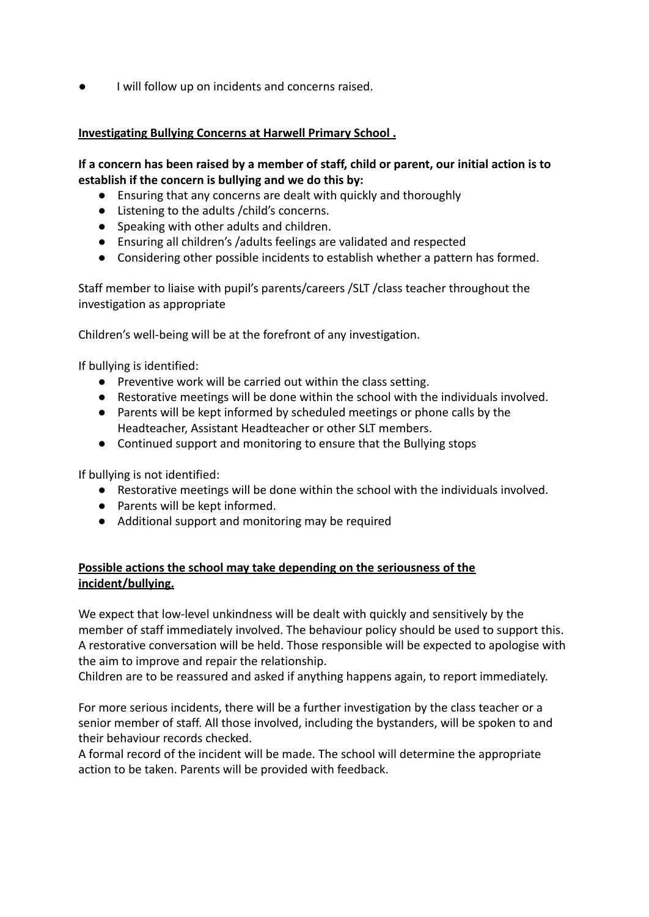I will follow up on incidents and concerns raised.

### **Investigating Bullying Concerns at Harwell Primary School .**

### **If a concern has been raised by a member of staff, child or parent, our initial action is to establish if the concern is bullying and we do this by:**

- Ensuring that any concerns are dealt with quickly and thoroughly
- Listening to the adults /child's concerns.
- Speaking with other adults and children.
- Ensuring all children's /adults feelings are validated and respected
- Considering other possible incidents to establish whether a pattern has formed.

Staff member to liaise with pupil's parents/careers /SLT /class teacher throughout the investigation as appropriate

Children's well-being will be at the forefront of any investigation.

If bullying is identified:

- Preventive work will be carried out within the class setting.
- Restorative meetings will be done within the school with the individuals involved.
- Parents will be kept informed by scheduled meetings or phone calls by the Headteacher, Assistant Headteacher or other SLT members.
- Continued support and monitoring to ensure that the Bullying stops

If bullying is not identified:

- Restorative meetings will be done within the school with the individuals involved.
- Parents will be kept informed.
- Additional support and monitoring may be required

# **Possible actions the school may take depending on the seriousness of the incident/bullying.**

We expect that low-level unkindness will be dealt with quickly and sensitively by the member of staff immediately involved. The behaviour policy should be used to support this. A restorative conversation will be held. Those responsible will be expected to apologise with the aim to improve and repair the relationship.

Children are to be reassured and asked if anything happens again, to report immediately.

For more serious incidents, there will be a further investigation by the class teacher or a senior member of staff. All those involved, including the bystanders, will be spoken to and their behaviour records checked.

A formal record of the incident will be made. The school will determine the appropriate action to be taken. Parents will be provided with feedback.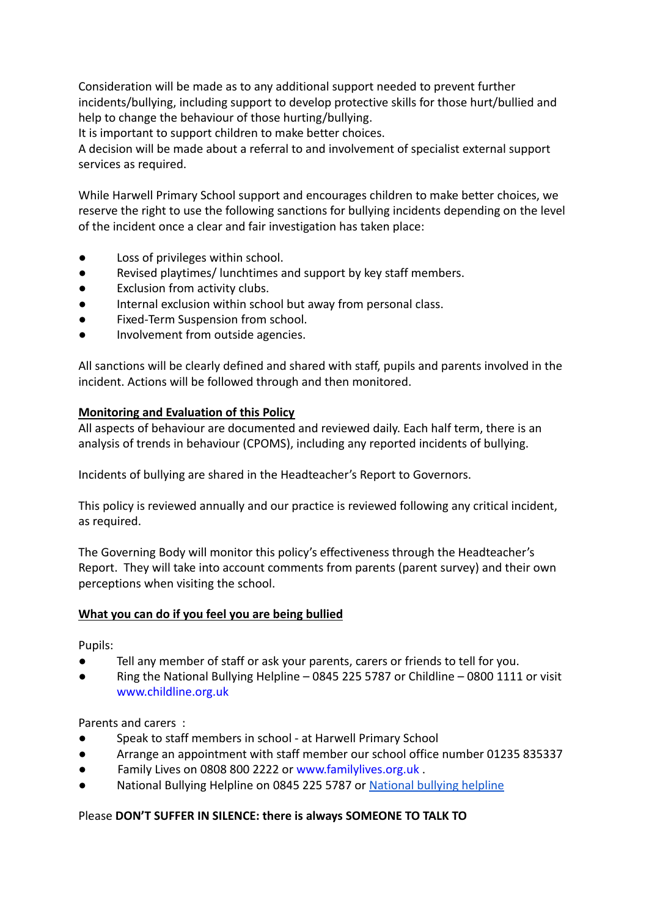Consideration will be made as to any additional support needed to prevent further incidents/bullying, including support to develop protective skills for those hurt/bullied and help to change the behaviour of those hurting/bullying.

It is important to support children to make better choices.

A decision will be made about a referral to and involvement of specialist external support services as required.

While Harwell Primary School support and encourages children to make better choices, we reserve the right to use the following sanctions for bullying incidents depending on the level of the incident once a clear and fair investigation has taken place:

- Loss of privileges within school.
- Revised playtimes/ lunchtimes and support by key staff members.
- Exclusion from activity clubs.
- Internal exclusion within school but away from personal class.
- Fixed-Term Suspension from school.
- Involvement from outside agencies.

All sanctions will be clearly defined and shared with staff, pupils and parents involved in the incident. Actions will be followed through and then monitored.

### **Monitoring and Evaluation of this Policy**

All aspects of behaviour are documented and reviewed daily. Each half term, there is an analysis of trends in behaviour (CPOMS), including any reported incidents of bullying.

Incidents of bullying are shared in the Headteacher's Report to Governors.

This policy is reviewed annually and our practice is reviewed following any critical incident, as required.

The Governing Body will monitor this policy's effectiveness through the Headteacher's Report. They will take into account comments from parents (parent survey) and their own perceptions when visiting the school.

# **What you can do if you feel you are being bullied**

Pupils:

- Tell any member of staff or ask your parents, carers or friends to tell for you.
- Ring the National Bullying Helpline 0845 225 5787 or Childline 0800 1111 or visit [www.childline.org.uk](http://www.childline.org.uk)

Parents and carers :

- Speak to staff members in school at Harwell Primary School
- Arrange an appointment with staff member our school office number 01235 835337
- Family Lives on 0808 800 2222 or [www.familylives.org.uk](http://www.familylives.org.uk).
- National Bullying Helpline on 0845 225 5787 or National [bullying helpline](https://www.nationalbullyinghelpline.co.uk/)

# Please **DON'T SUFFER IN SILENCE: there is always SOMEONE TO TALK TO**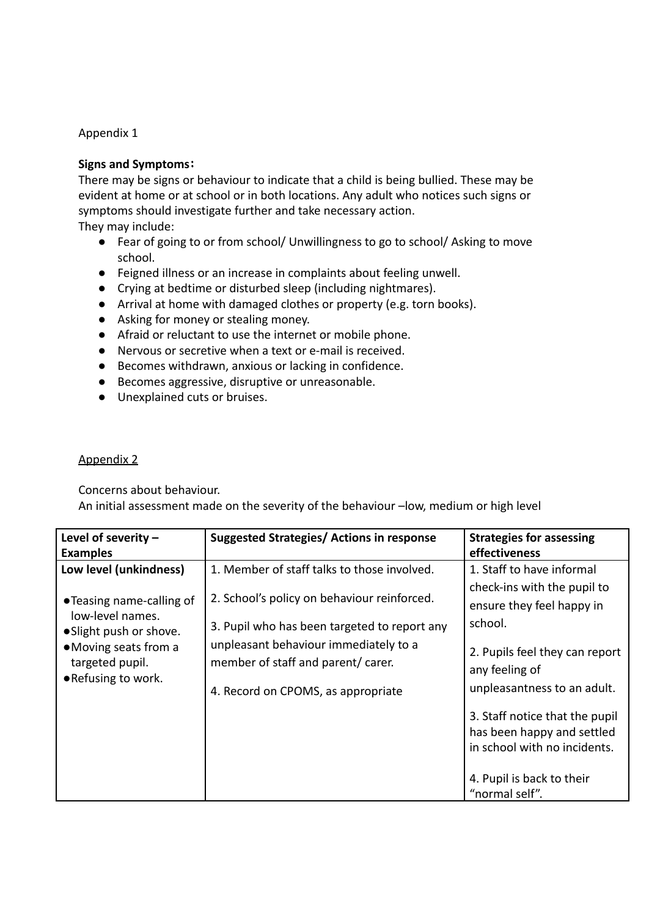### Appendix 1

### **Signs and Symptoms:**

There may be signs or behaviour to indicate that a child is being bullied. These may be evident at home or at school or in both locations. Any adult who notices such signs or symptoms should investigate further and take necessary action. They may include:

● Fear of going to or from school/ Unwillingness to go to school/ Asking to move school.

- Feigned illness or an increase in complaints about feeling unwell.
- Crying at bedtime or disturbed sleep (including nightmares).
- Arrival at home with damaged clothes or property (e.g. torn books).
- Asking for money or stealing money.
- Afraid or reluctant to use the internet or mobile phone.
- Nervous or secretive when a text or e-mail is received.
- Becomes withdrawn, anxious or lacking in confidence.
- Becomes aggressive, disruptive or unreasonable.
- Unexplained cuts or bruises.

### Appendix 2

Concerns about behaviour.

An initial assessment made on the severity of the behaviour –low, medium or high level

| Level of severity $-$                                                                                                                                                                   | <b>Suggested Strategies/ Actions in response</b>                                                                                                                                                                                                                | <b>Strategies for assessing</b>                                                                                                                                                                                                                                                                      |
|-----------------------------------------------------------------------------------------------------------------------------------------------------------------------------------------|-----------------------------------------------------------------------------------------------------------------------------------------------------------------------------------------------------------------------------------------------------------------|------------------------------------------------------------------------------------------------------------------------------------------------------------------------------------------------------------------------------------------------------------------------------------------------------|
| <b>Examples</b><br>Low level (unkindness)<br>•Teasing name-calling of<br>low-level names.<br>• Slight push or shove.<br>• Moving seats from a<br>targeted pupil.<br>• Refusing to work. | 1. Member of staff talks to those involved.<br>2. School's policy on behaviour reinforced.<br>3. Pupil who has been targeted to report any<br>unpleasant behaviour immediately to a<br>member of staff and parent/ carer.<br>4. Record on CPOMS, as appropriate | effectiveness<br>1. Staff to have informal<br>check-ins with the pupil to<br>ensure they feel happy in<br>school.<br>2. Pupils feel they can report<br>any feeling of<br>unpleasantness to an adult.<br>3. Staff notice that the pupil<br>has been happy and settled<br>in school with no incidents. |
|                                                                                                                                                                                         |                                                                                                                                                                                                                                                                 | 4. Pupil is back to their<br>"normal self".                                                                                                                                                                                                                                                          |